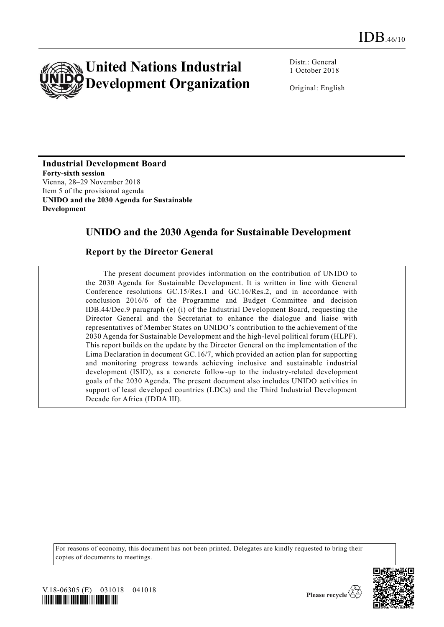

Distr.: General 1 October 2018

Original: English

**Industrial Development Board Forty-sixth session** Vienna, 28–29 November 2018 Item 5 of the provisional agenda **UNIDO and the 2030 Agenda for Sustainable Development** 

# **UNIDO and the 2030 Agenda for Sustainable Development**

#### **Report by the Director General**

The present document provides information on the contribution of UNIDO to the 2030 Agenda for Sustainable Development. It is written in line with General Conference resolutions GC.15/Res.1 and GC.16/Res.2, and in accordance with conclusion 2016/6 of the Programme and Budget Committee and decision IDB.44/Dec.9 paragraph (e) (i) of the Industrial Development Board, requesting the Director General and the Secretariat to enhance the dialogue and liaise with representatives of Member States on UNIDO's contribution to the achievement of the 2030 Agenda for Sustainable Development and the high-level political forum (HLPF). This report builds on the update by the Director General on the implementation of the Lima Declaration in document GC.16/7, which provided an action plan for supporting and monitoring progress towards achieving inclusive and sustainable industrial development (ISID), as a concrete follow-up to the industry-related development goals of the 2030 Agenda. The present document also includes UNIDO activities in support of least developed countries (LDCs) and the Third Industrial Development Decade for Africa (IDDA III).

For reasons of economy, this document has not been printed. Delegates are kindly requested to bring their copies of documents to meetings.



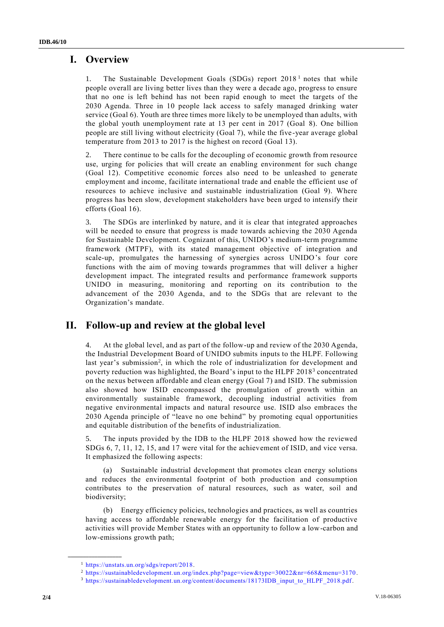## **I. Overview**

1. The Sustainable Development Goals (SDGs) report  $2018<sup>1</sup>$  notes that while people overall are living better lives than they were a decade ago, progress to ensure that no one is left behind has not been rapid enough to meet the targets of the 2030 Agenda. Three in 10 people lack access to safely managed drinking water service (Goal 6). Youth are three times more likely to be unemployed than adults, with the global youth unemployment rate at 13 per cent in 2017 (Goal 8). One billion people are still living without electricity (Goal 7), while the five -year average global temperature from 2013 to 2017 is the highest on record (Goal 13).

2. There continue to be calls for the decoupling of economic growth from resource use, urging for policies that will create an enabling environment for such change (Goal 12). Competitive economic forces also need to be unleashed to generate employment and income, facilitate international trade and enable the efficient use of resources to achieve inclusive and sustainable industrialization (Goal 9). Where progress has been slow, development stakeholders have been urged to intensify their efforts (Goal 16).

3. The SDGs are interlinked by nature, and it is clear that integrated approaches will be needed to ensure that progress is made towards achieving the 2030 Agenda for Sustainable Development. Cognizant of this, UNIDO's medium-term programme framework (MTPF), with its stated management objective of integration and scale-up, promulgates the harnessing of synergies across UNIDO's four core functions with the aim of moving towards programmes that will deliver a higher development impact. The integrated results and performance framework supports UNIDO in measuring, monitoring and reporting on its contribution to the advancement of the 2030 Agenda, and to the SDGs that are relevant to the Organization's mandate.

## **II. Follow-up and review at the global level**

At the global level, and as part of the follow-up and review of the 2030 Agenda, the Industrial Development Board of UNIDO submits inputs to the HLPF. Following last year's submission<sup>2</sup>, in which the role of industrialization for development and poverty reduction was highlighted, the Board's input to the HLPF 2018<sup>3</sup> concentrated on the nexus between affordable and clean energy (Goal 7) and ISID. The submission also showed how ISID encompassed the promulgation of growth within an environmentally sustainable framework, decoupling industrial activities from negative environmental impacts and natural resource use. ISID also embraces the 2030 Agenda principle of "leave no one behind" by promoting equal opportunities and equitable distribution of the benefits of industrialization.

5. The inputs provided by the IDB to the HLPF 2018 showed how the reviewed SDGs 6, 7, 11, 12, 15, and 17 were vital for the achievement of ISID, and vice versa. It emphasized the following aspects:

(a) Sustainable industrial development that promotes clean energy solutions and reduces the environmental footprint of both production and consumption contributes to the preservation of natural resources, such as water, soil and biodiversity;

(b) Energy efficiency policies, technologies and practices, as well as countries having access to affordable renewable energy for the facilitation of productive activities will provide Member States with an opportunity to follow a low-carbon and low-emissions growth path;

**\_\_\_\_\_\_\_\_\_\_\_\_\_\_\_\_\_\_**

<sup>1</sup> [https://unstats.un.org/sdgs/report/2018.](https://unstats.un.org/sdgs/report/2018)

<sup>2</sup> <https://sustainabledevelopment.un.org/index.php?page=view&type=30022&nr=668&menu=3170> .

<sup>3</sup> [https://sustainabledevelopment.un.org/content/documents/18173IDB\\_input\\_to\\_HLPF\\_2018.pdf.](https://sustainabledevelopment.un.org/content/documents/18173IDB_input_to_HLPF_2018.pdf)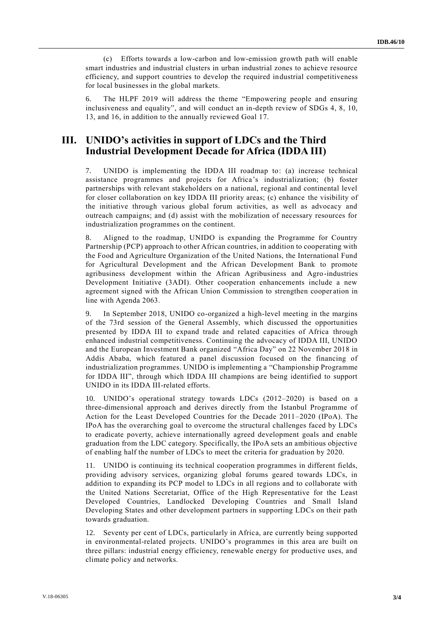(c) Efforts towards a low-carbon and low-emission growth path will enable smart industries and industrial clusters in urban industrial zones to achieve resource efficiency, and support countries to develop the required industrial competitiveness for local businesses in the global markets.

6. The HLPF 2019 will address the theme "Empowering people and ensuring inclusiveness and equality", and will conduct an in-depth review of SDGs 4, 8, 10, 13, and 16, in addition to the annually reviewed Goal 17.

#### **III. UNIDO's activities in support of LDCs and the Third Industrial Development Decade for Africa (IDDA III)**

7. UNIDO is implementing the IDDA III roadmap to: (a) increase technical assistance programmes and projects for Africa's industrialization; (b) foster partnerships with relevant stakeholders on a national, regional and continental level for closer collaboration on key IDDA III priority areas; (c) enhance the visibility of the initiative through various global forum activities, as well as advocacy and outreach campaigns; and (d) assist with the mobilization of necessary resources for industrialization programmes on the continent.

8. Aligned to the roadmap, UNIDO is expanding the Programme for Country Partnership (PCP) approach to other African countries, in addition to cooperating with the Food and Agriculture Organization of the United Nations, the International Fund for Agricultural Development and the African Development Bank to promote agribusiness development within the African Agribusiness and Agro-industries Development Initiative (3ADI). Other cooperation enhancements include a new agreement signed with the African Union Commission to strengthen cooper ation in line with Agenda 2063.

9. In September 2018, UNIDO co-organized a high-level meeting in the margins of the 73rd session of the General Assembly, which discussed the opportunities presented by IDDA III to expand trade and related capacities of Africa through enhanced industrial competitiveness. Continuing the advocacy of IDDA III, UNIDO and the European Investment Bank organized "Africa Day" on 22 November 2018 in Addis Ababa, which featured a panel discussion focused on the financing of industrialization programmes. UNIDO is implementing a "Championship Programme for IDDA III", through which IDDA III champions are being identified to support UNIDO in its IDDA III-related efforts.

10. UNIDO's operational strategy towards LDCs (2012–2020) is based on a three-dimensional approach and derives directly from the Istanbul Programme of Action for the Least Developed Countries for the Decade 2011–2020 (IPoA). The IPoA has the overarching goal to overcome the structural challenges faced by LDCs to eradicate poverty, achieve internationally agreed development goals and enable graduation from the LDC category. Specifically, the IPoA sets an ambitious objective of enabling half the number of LDCs to meet the criteria for graduation by 2020.

11. UNIDO is continuing its technical cooperation programmes in different fields, providing advisory services, organizing global forums geared towards LDCs, in addition to expanding its PCP model to LDCs in all regions and to collaborate with the United Nations Secretariat, Office of the High Representative for the Least Developed Countries, Landlocked Developing Countries and Small Island Developing States and other development partners in supporting LDCs on their path towards graduation.

12. Seventy per cent of LDCs, particularly in Africa, are currently being supported in environmental-related projects. UNIDO's programmes in this area are built on three pillars: industrial energy efficiency, renewable energy for productive uses, and climate policy and networks.